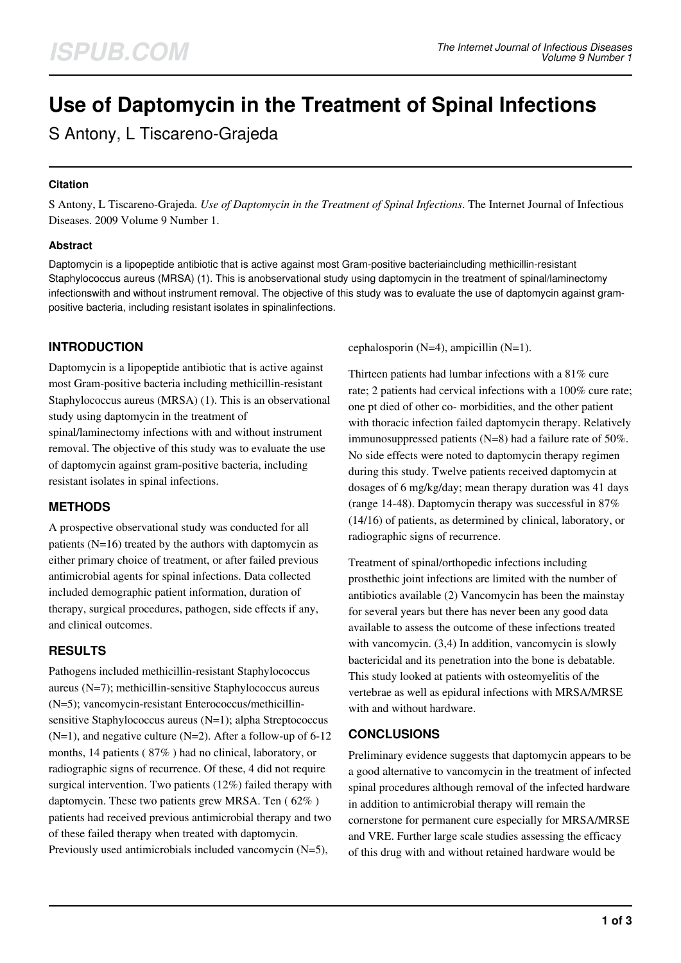# **Use of Daptomycin in the Treatment of Spinal Infections**

S Antony, L Tiscareno-Grajeda

### **Citation**

S Antony, L Tiscareno-Grajeda. *Use of Daptomycin in the Treatment of Spinal Infections*. The Internet Journal of Infectious Diseases. 2009 Volume 9 Number 1.

### **Abstract**

Daptomycin is a lipopeptide antibiotic that is active against most Gram-positive bacteriaincluding methicillin-resistant Staphylococcus aureus (MRSA) (1). This is anobservational study using daptomycin in the treatment of spinal/laminectomy infectionswith and without instrument removal. The objective of this study was to evaluate the use of daptomycin against grampositive bacteria, including resistant isolates in spinalinfections.

## **INTRODUCTION**

Daptomycin is a lipopeptide antibiotic that is active against most Gram-positive bacteria including methicillin-resistant Staphylococcus aureus (MRSA) (1). This is an observational study using daptomycin in the treatment of

spinal/laminectomy infections with and without instrument removal. The objective of this study was to evaluate the use of daptomycin against gram-positive bacteria, including resistant isolates in spinal infections.

## **METHODS**

A prospective observational study was conducted for all patients (N=16) treated by the authors with daptomycin as either primary choice of treatment, or after failed previous antimicrobial agents for spinal infections. Data collected included demographic patient information, duration of therapy, surgical procedures, pathogen, side effects if any, and clinical outcomes.

## **RESULTS**

Pathogens included methicillin-resistant Staphylococcus aureus (N=7); methicillin-sensitive Staphylococcus aureus (N=5); vancomycin-resistant Enterococcus/methicillinsensitive Staphylococcus aureus (N=1); alpha Streptococcus  $(N=1)$ , and negative culture  $(N=2)$ . After a follow-up of 6-12 months, 14 patients ( 87% ) had no clinical, laboratory, or radiographic signs of recurrence. Of these, 4 did not require surgical intervention. Two patients (12%) failed therapy with daptomycin. These two patients grew MRSA. Ten ( 62% ) patients had received previous antimicrobial therapy and two of these failed therapy when treated with daptomycin. Previously used antimicrobials included vancomycin (N=5),

cephalosporin (N=4), ampicillin (N=1).

Thirteen patients had lumbar infections with a 81% cure rate; 2 patients had cervical infections with a 100% cure rate; one pt died of other co- morbidities, and the other patient with thoracic infection failed daptomycin therapy. Relatively immunosuppressed patients (N=8) had a failure rate of 50%. No side effects were noted to daptomycin therapy regimen during this study. Twelve patients received daptomycin at dosages of 6 mg/kg/day; mean therapy duration was 41 days (range 14-48). Daptomycin therapy was successful in 87% (14/16) of patients, as determined by clinical, laboratory, or radiographic signs of recurrence.

Treatment of spinal/orthopedic infections including prosthethic joint infections are limited with the number of antibiotics available (2) Vancomycin has been the mainstay for several years but there has never been any good data available to assess the outcome of these infections treated with vancomycin. (3,4) In addition, vancomycin is slowly bactericidal and its penetration into the bone is debatable. This study looked at patients with osteomyelitis of the vertebrae as well as epidural infections with MRSA/MRSE with and without hardware.

## **CONCLUSIONS**

Preliminary evidence suggests that daptomycin appears to be a good alternative to vancomycin in the treatment of infected spinal procedures although removal of the infected hardware in addition to antimicrobial therapy will remain the cornerstone for permanent cure especially for MRSA/MRSE and VRE. Further large scale studies assessing the efficacy of this drug with and without retained hardware would be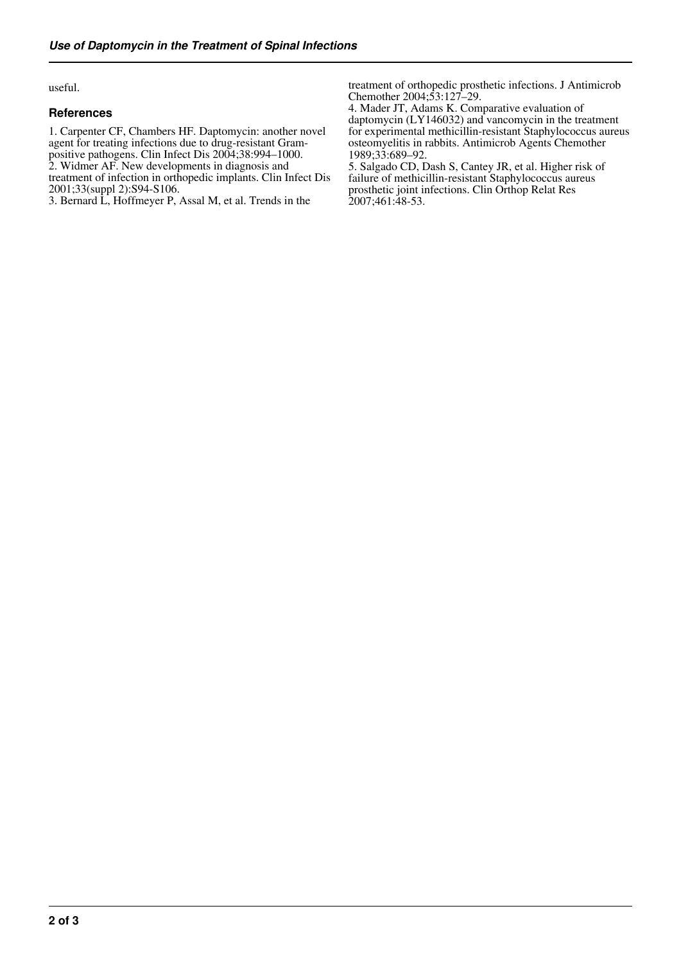useful.

#### **References**

1. Carpenter CF, Chambers HF. Daptomycin: another novel agent for treating infections due to drug-resistant Grampositive pathogens. Clin Infect Dis 2004;38:994–1000. 2. Widmer AF. New developments in diagnosis and treatment of infection in orthopedic implants. Clin Infect Dis 2001;33(suppl 2):S94-S106.

3. Bernard L, Hoffmeyer P, Assal M, et al. Trends in the

treatment of orthopedic prosthetic infections. J Antimicrob Chemother 2004;53:127–29.

4. Mader JT, Adams K. Comparative evaluation of daptomycin (LY146032) and vancomycin in the treatment for experimental methicillin-resistant Staphylococcus aureus osteomyelitis in rabbits. Antimicrob Agents Chemother 1989;33:689–92.

5. Salgado CD, Dash S, Cantey JR, et al. Higher risk of failure of methicillin-resistant Staphylococcus aureus prosthetic joint infections. Clin Orthop Relat Res 2007;461:48-53.